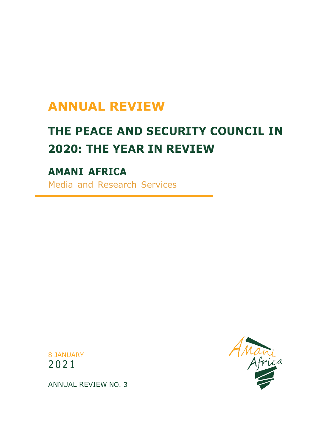# **ANNUAL REVIEW**

# **THE PEACE AND SECURITY COUNCIL IN 2020: THE YEAR IN REVIEW**

# **AMANI AFRICA**

Media and Research Services





ANNUAL REVIEW NO. 3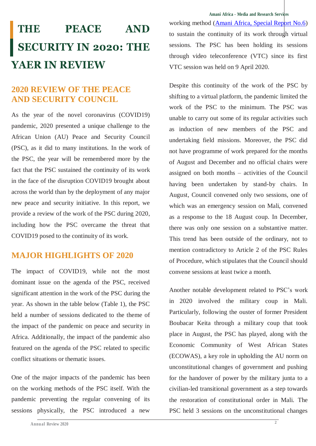#### **Amani Africa - Media and Research Services**

# **THE PEACE AND SECURITY IN 2020: THE YAER IN REVIEW**

# **2020 REVIEW OF THE PEACE AND SECURITY COUNCIL**

As the year of the novel coronavirus (COVID19) pandemic, 2020 presented a unique challenge to the African Union (AU) Peace and Security Council (PSC), as it did to many institutions. In the work of the PSC, the year will be remembered more by the fact that the PSC sustained the continuity of its work in the face of the disruption COVID19 brought about across the world than by the deployment of any major new peace and security initiative. In this report, we provide a review of the work of the PSC during 2020, including how the PSC overcame the threat that COVID19 posed to the continuity of its work.

# **MAJOR HIGHLIGHTS OF 2020**

The impact of COVID19, while not the most dominant issue on the agenda of the PSC, received significant attention in the work of the PSC during the year. As shown in the table below (Table 1), the PSC held a number of sessions dedicated to the theme of the impact of the pandemic on peace and security in Africa. Additionally, the impact of the pandemic also featured on the agenda of the PSC related to specific conflict situations or thematic issues.

One of the major impacts of the pandemic has been on the working methods of the PSC itself. With the pandemic preventing the regular convening of its sessions physically, the PSC introduced a new

working method [\(Amani Africa, Special Report No.6\)](http://www.amaniafrica-et.org/images/Reports/AmaniAfricaSpecialResearchReport6.pdf) to sustain the continuity of its work through virtual sessions. The PSC has been holding its sessions through video teleconference (VTC) since its first VTC session was held on 9 April 2020.

Despite this continuity of the work of the PSC by shifting to a virtual platform, the pandemic limited the work of the PSC to the minimum. The PSC was unable to carry out some of its regular activities such as induction of new members of the PSC and undertaking field missions. Moreover, the PSC did not have programme of work prepared for the months of August and December and no official chairs were assigned on both months – activities of the Council having been undertaken by stand-by chairs. In August, Council convened only two sessions, one of which was an emergency session on Mali, convened as a response to the 18 August coup. In December, there was only one session on a substantive matter. This trend has been outside of the ordinary, not to mention contradictory to Article 2 of the PSC Rules of Procedure, which stipulates that the Council should convene sessions at least twice a month.

Another notable development related to PSC's work in 2020 involved the military coup in Mali. Particularly, following the ouster of former President Boubacar Keita through a military coup that took place in August, the PSC has played, along with the Economic Community of West African States (ECOWAS), a key role in upholding the AU norm on unconstitutional changes of government and pushing for the handover of power by the military junta to a civilian-led transitional government as a step towards the restoration of constitutional order in Mali. The PSC held 3 sessions on the unconstitutional changes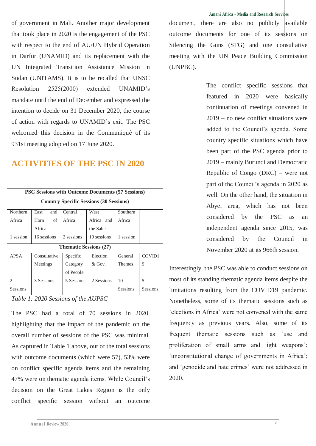of government in Mali. Another major development that took place in 2020 is the engagement of the PSC with respect to the end of AU/UN Hybrid Operation in Darfur (UNAMID) and its replacement with the UN Integrated Transition Assistance Mission in Sudan (UNITAMS). It is to be recalled that UNSC Resolution 2525(2000) extended UNAMID's mandate until the end of December and expressed the intention to decide on 31 December 2020, the course of action with regards to UNAMID's exit. The PSC welcomed this decision in the Communiqué of its 931st meeting adopted on 17 June 2020.

# **ACTIVITIES OF THE PSC IN 2020**

| <b>PSC Sessions with Outcome Documents (57 Sessions)</b> |              |            |             |                 |          |  |
|----------------------------------------------------------|--------------|------------|-------------|-----------------|----------|--|
| <b>Country Specific Sessions (30 Sessions)</b>           |              |            |             |                 |          |  |
| <b>Northern</b>                                          | East<br>and  | Central    | West        | Southern        |          |  |
| Africa                                                   | οf<br>Horn   | Africa     | Africa and  | Africa          |          |  |
|                                                          | Africa       |            | the Sahel   |                 |          |  |
| 1 session                                                | 16 sessions  | 2 sessions | 10 sessions | 1 session       |          |  |
| <b>Thematic Sessions (27)</b>                            |              |            |             |                 |          |  |
| <b>APSA</b>                                              | Consultative | Specific   | Election    | General         | COVID1   |  |
|                                                          | Meetings     | Category   | $&$ Gov.    | <b>Themes</b>   | 9        |  |
|                                                          |              | of People  |             |                 |          |  |
| $\mathcal{D}_{\mathcal{L}}$                              | 3 Sessions   | 5 Sessions | 2 Sessions  | 10              | 5        |  |
| <b>Sessions</b>                                          |              |            |             | <b>Sessions</b> | Sessions |  |

*Table 1: 2020 Sessions of the AUPSC*

The PSC had a total of 70 sessions in 2020, highlighting that the impact of the pandemic on the overall number of sessions of the PSC was minimal. As captured in Table 1 above, out of the total sessions with outcome documents (which were 57), 53% were on conflict specific agenda items and the remaining 47% were on thematic agenda items. While Council's decision on the Great Lakes Region is the only conflict specific session without an outcome

#### **Amani Africa - Media and Research Services**

document, there are also no publicly available outcome documents for one of its sessions on Silencing the Guns (STG) and one consultative meeting with the UN Peace Building Commission (UNPBC).

> The conflict specific sessions that featured in 2020 were basically continuation of meetings convened in 2019 – no new conflict situations were added to the Council's agenda. Some country specific situations which have been part of the PSC agenda prior to 2019 – mainly Burundi and Democratic Republic of Congo (DRC) – were not part of the Council's agenda in 2020 as well. On the other hand, the situation in Abyei area, which has not been considered by the PSC as an independent agenda since 2015, was considered by the Council in November 2020 at its 966th session.

Interestingly, the PSC was able to conduct sessions on most of its standing thematic agenda items despite the limitations resulting from the COVID19 pandemic. Nonetheless, some of its thematic sessions such as 'elections in Africa' were not convened with the same frequency as previous years. Also, some of its frequent thematic sessions such as 'use and proliferation of small arms and light weapons'; 'unconstitutional change of governments in Africa'; and 'genocide and hate crimes' were not addressed in 2020.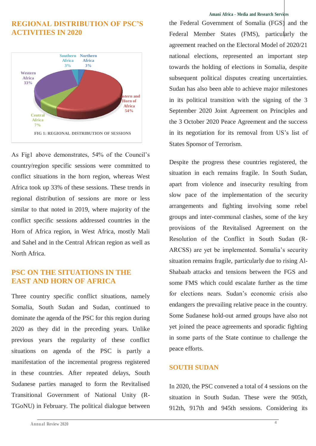## **REGIONAL DISTRIBUTION OF PSC'S ACTIVITIES IN 2020**



As Fig1 above demonstrates, 54% of the Council's country/region specific sessions were committed to conflict situations in the horn region, whereas West Africa took up 33% of these sessions. These trends in regional distribution of sessions are more or less similar to that noted in 2019, where majority of the conflict specific sessions addressed countries in the Horn of Africa region, in West Africa, mostly Mali and Sahel and in the Central African region as well as North Africa.

## **PSC ON THE SITUATIONS IN THE EAST AND HORN OF AFRICA**

Three country specific conflict situations, namely Somalia, South Sudan and Sudan, continued to dominate the agenda of the PSC for this region during 2020 as they did in the preceding years. Unlike previous years the regularity of these conflict situations on agenda of the PSC is partly a manifestation of the incremental progress registered in these countries. After repeated delays, South Sudanese parties managed to form the Revitalised Transitional Government of National Unity (R-TGoNU) in February. The political dialogue between

#### **Amani Africa - Media and Research Services**

the Federal Government of Somalia (FGS) and the Federal Member States (FMS), particularly the agreement reached on the Electoral Model of 2020/21 national elections, represented an important step towards the holding of elections in Somalia, despite subsequent political disputes creating uncertainties. Sudan has also been able to achieve major milestones in its political transition with the signing of the 3 September 2020 Joint Agreement on Principles and the 3 October 2020 Peace Agreement and the success in its negotiation for its removal from US's list of States Sponsor of Terrorism.

Despite the progress these countries registered, the situation in each remains fragile. In South Sudan, apart from violence and insecurity resulting from slow pace of the implementation of the security arrangements and fighting involving some rebel groups and inter-communal clashes, some of the key provisions of the Revitalised Agreement on the Resolution of the Conflict in South Sudan (R-ARCSS) are yet be implemented. Somalia's security situation remains fragile, particularly due to rising Al-Shabaab attacks and tensions between the FGS and some FMS which could escalate further as the time for elections nears. Sudan's economic crisis also endangers the prevailing relative peace in the country. Some Sudanese hold-out armed groups have also not yet joined the peace agreements and sporadic fighting in some parts of the State continue to challenge the peace efforts.

#### **SOUTH SUDAN**

In 2020, the PSC convened a total of 4 sessions on the situation in South Sudan. These were the 905th, 912th, 917th and 945th sessions. Considering its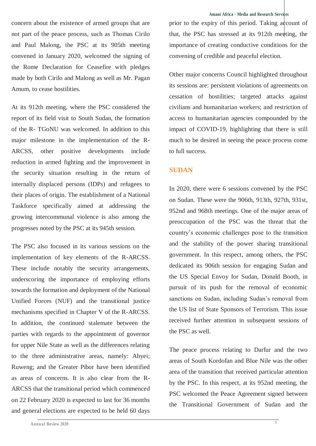concern about the existence of armed groups that are not part of the peace process, such as Thomas Cirilo and Paul Malong, the PSC at its 905th meeting convened in January 2020, welcomed the signing of the Rome Declaration for Ceasefire with pledges made by both Cirilo and Malong as well as Mr. Pagan Amum, to cease hostilities.

At its 912th meeting, where the PSC considered the report of its field visit to South Sudan, the formation of the R- TGoNU was welcomed. In addition to this major milestone in the implementation of the R-ARCSS, other positive developments include reduction in armed fighting and the improvement in the security situation resulting in the return of internally displaced persons (IDPs) and refugees to their places of origin. The establishment of a National Taskforce specifically aimed at addressing the growing intercommunal violence is also among the progresses noted by the PSC at its 945th session.

The PSC also focused in its various sessions on the implementation of key elements of the R-ARCSS. These include notably the security arrangements, underscoring the importance of employing efforts towards the formation and deployment of the National Unified Forces (NUF) and the transitional justice mechanisms specified in Chapter V of the R-ARCSS. In addition, the continued stalemate between the parties with regards to the appointment of governor for upper Nile State as well as the differences relating to the three administrative areas, namely: Abyei; Ruweng; and the Greater Pibor have been identified as areas of concerns. It is also clear from the R-ARCSS that the transitional period which commenced on 22 February 2020 is expected to last for 36 months and general elections are expected to be held 60 days

prior to the expiry of this period. Taking account of that, the PSC has stressed at its 912th meeting, the importance of creating conductive conditions for the convening of credible and peaceful election.

Other major concerns Council highlighted throughout its sessions are: persistent violations of agreements on cessation of hostilities; targeted attacks against civilians and humanitarian workers; and restriction of access to humanitarian agencies compounded by the impact of COVID-19, highlighting that there is still much to be desired in seeing the peace process come to full success.

### **SUDAN**

In 2020, there were 6 sessions convened by the PSC on Sudan. These were the 906th, 913th, 927th, 931st, 952nd and 968th meetings. One of the major areas of preoccupation of the PSC was the threat that the country's economic challenges pose to the transition and the stability of the power sharing transitional government. In this respect, among others, the PSC dedicated its 906th session for engaging Sudan and the US Special Envoy for Sudan, Donald Booth, in pursuit of its push for the removal of economic sanctions on Sudan, including Sudan's removal from the US list of State Sponsors of Terrorism. This issue received further attention in subsequent sessions of the PSC as well.

The peace process relating to Darfur and the two areas of South Kordofan and Blue Nile was the other area of the transition that received particular attention by the PSC. In this respect, at its 952nd meeting, the PSC welcomed the Peace Agreement signed between the Transitional Government of Sudan and the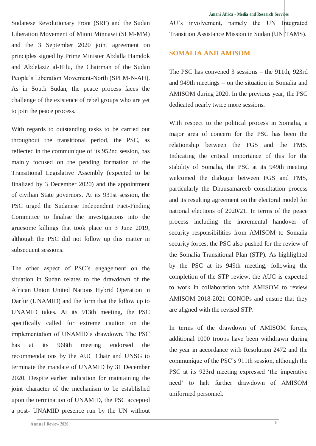Sudanese Revolutionary Front (SRF) and the Sudan Liberation Movement of Minni Minnawi (SLM-MM) and the 3 September 2020 joint agreement on principles signed by Prime Minister Abdalla Hamdok and Abdelaziz al-Hilu, the Chairman of the Sudan People's Liberation Movement-North (SPLM-N-AH). As in South Sudan, the peace process faces the challenge of the existence of rebel groups who are yet to join the peace process.

With regards to outstanding tasks to be carried out throughout the transitional period, the PSC, as reflected in the communique of its 952nd session, has mainly focused on the pending formation of the Transitional Legislative Assembly (expected to be finalized by 3 December 2020) and the appointment of civilian State governors. At its 931st session, the PSC urged the Sudanese Independent Fact-Finding Committee to finalise the investigations into the gruesome killings that took place on 3 June 2019, although the PSC did not follow up this matter in subsequent sessions.

The other aspect of PSC's engagement on the situation in Sudan relates to the drawdown of the African Union United Nations Hybrid Operation in Darfur (UNAMID) and the form that the follow up to UNAMID takes. At its 913th meeting, the PSC specifically called for extreme caution on the implementation of UNAMID's drawdown. The PSC has at its 968th meeting endorsed the recommendations by the AUC Chair and UNSG to terminate the mandate of UNAMID by 31 December 2020. Despite earlier indication for maintaining the joint character of the mechanism to be established upon the termination of UNAMID, the PSC accepted a post- UNAMID presence run by the UN without **Amani Africa - Media and Research Services**

AU's involvement, namely the UN Integrated Transition Assistance Mission in Sudan (UNITAMS).

#### **SOMALIA AND AMISOM**

The PSC has convened 3 sessions – the 911th, 923rd and 949th meetings – on the situation in Somalia and AMISOM during 2020. In the previous year, the PSC dedicated nearly twice more sessions.

With respect to the political process in Somalia, a major area of concern for the PSC has been the relationship between the FGS and the FMS. Indicating the critical importance of this for the stability of Somalia, the PSC at its 949th meeting welcomed the dialogue between FGS and FMS, particularly the Dhuusamareeb consultation process and its resulting agreement on the electoral model for national elections of 2020/21. In terms of the peace process including the incremental handover of security responsibilities from AMISOM to Somalia security forces, the PSC also pushed for the review of the Somalia Transitional Plan (STP). As highlighted by the PSC at its 949th meeting, following the completion of the STP review, the AUC is expected to work in collaboration with AMISOM to review AMISOM 2018-2021 CONOPs and ensure that they are aligned with the revised STP.

In terms of the drawdown of AMISOM forces, additional 1000 troops have been withdrawn during the year in accordance with Resolution 2472 and the communique of the PSC's 911th session, although the PSC at its 923rd meeting expressed 'the imperative need' to halt further drawdown of AMISOM uniformed personnel.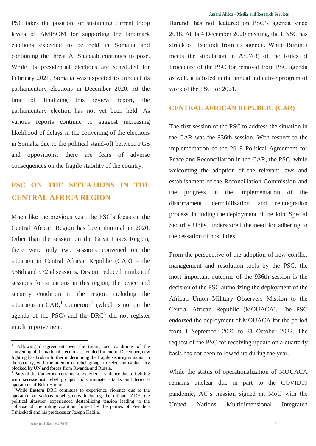PSC takes the position for sustaining current troop levels of AMISOM for supporting the landmark elections expected to be held in Somalia and containing the threat Al Shabaab continues to pose. While its presidential elections are scheduled for February 2021, Somalia was expected to conduct its parliamentary elections in December 2020. At the time of finalizing this review report, the parliamentary election has not yet been held. As various reports continue to suggest increasing likelihood of delays in the convening of the elections in Somalia due to the political stand-off between FGS and oppositions, there are fears of adverse consequences on the fragile stability of the country.

# **PSC ON THE SITUATIONS IN THE CENTRAL AFRICA REGION**

Much like the previous year, the PSC's focus on the Central African Region has been minimal in 2020. Other than the session on the Great Lakes Region, there were only two sessions convened on the situation in Central African Republic (CAR) – the 936th and 972nd sessions. Despite reduced number of sessions for situations in this region, the peace and security condition in the region including the situations in  $CAR$ ,  $l$  Cameroon<sup>2</sup> (which is not on the agenda of the PSC) and the  $DRC<sup>3</sup>$  did not register much improvement.

j

#### **Amani Africa - Media and Research Services**

Burundi has not featured on PSC's agenda since 2018. At its 4 December 2020 meeting, the UNSC has struck off Burundi from its agenda. While Burundi meets the stipulation in Art.7(3) of the Rules of Procedure of the PSC for removal from PSC agenda as well, it is listed in the annual indicative program of work of the PSC for 2021.

#### **CENTRAL AFRICAN REPUBLIC (CAR)**

The first session of the PSC to address the situation in the CAR was the 936th session. With respect to the implementation of the 2019 Political Agreement for Peace and Reconciliation in the CAR, the PSC, while welcoming the adoption of the relevant laws and establishment of the Reconciliation Commission and the progress in the implementation of the disarmament, demobilization and reintegration process, including the deployment of the Joint Special Security Units, underscored the need for adhering to the cessation of hostilities.

From the perspective of the adoption of new conflict management and resolution tools by the PSC, the most important outcome of the 936th session is the decision of the PSC authorizing the deployment of the African Union Military Observers Mission to the Central African Republic (MOUACA). The PSC endorsed the deployment of MOUACA for the period from 1 September 2020 to 31 October 2022. The request of the PSC for receiving update on a quarterly basis has not been followed up during the year.

While the status of operationalization of MOUACA remains unclear due in part to the COVID19 pandemic, AU's mission signed an MoU with the United Nations Multidimensional Integrated

<sup>&</sup>lt;sup>1</sup> Following disagreement over the timing and conditions of the convening of the national elections scheduled for end of December, new fighting has broken further undermining the fragile security situation in the country, with the attempt of rebel groups to seize the capital city blocked by UN and forces from Rwanda and Russia.

<sup>2</sup> Parts of the Cameroon continue to experience violence due to fighting with secessionist rebel groups, indiscriminate attacks and terrorist operations of Boko Haram.

While Eastern DRC continues to experience violence due to the operation of various rebel groups including the militant ADF, the political situation experienced destabilizing tension leading to the collapse of the ruling coalition formed by the parties of President Tshisekedi and his predecessor Joseph Kabila.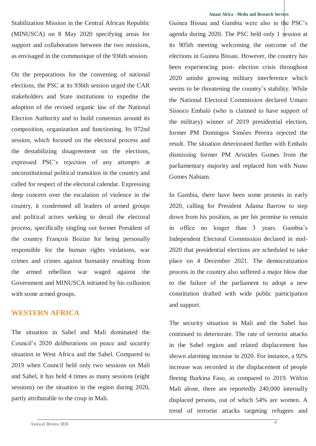Stabilization Mission in the Central African Republic (MINUSCA) on 8 May 2020 specifying areas for support and collaboration between the two missions, as envisaged in the communique of the 936th session.

On the preparations for the convening of national elections, the PSC at its 936th session urged the CAR stakeholders and State institutions to expedite the adoption of the revised organic law of the National Election Authority and to build consensus around its composition, organization and functioning. Its 972nd session, which focused on the electoral process and the destabilizing disagreement on the elections, expressed PSC's rejection of any attempts at unconstitutional political transition in the country and called for respect of the electoral calendar. Expressing deep concern over the escalation of violence in the country, it condemned all leaders of armed groups and political actors seeking to derail the electoral process, specifically singling out former President of the country François Bozize for being personally responsible for the human rights violations, war crimes and crimes against humanity resulting from the armed rebellion war waged against the Government and MINUSCA initiated by his collusion with some armed groups.

### **WESTERN AFRICA**

The situation in Sahel and Mali dominated the Council's 2020 deliberations on peace and security situation in West Africa and the Sahel. Compared to 2019 when Council held only two sessions on Mali and Sahel, it has held 4 times as many sessions (eight sessions) on the situation in the region during 2020, partly attributable to the coup in Mali.

#### **Amani Africa - Media and Research Services**

Guinea Bissau and Gambia were also in the PSC's agenda during 2020. The PSC held only 1 session at its 905th meeting welcoming the outcome of the elections in Guinea Bissau. However, the country has been experiencing post- election crisis throughout 2020 amidst growing military interference which seems to be threatening the country's stability. While the National Electoral Commission declared Umaro Sissoco Embaló (who is claimed to have support of the military) winner of 2019 presidential election, former PM Domingos Simões Pereira rejected the result. The situation deteriorated further with Embalo dismissing former PM Aristides Gomes from the parliamentary majority and replaced him with Nuno Gomes Nabiam.

In Gambia, there have been some protests in early 2020, calling for President Adama Barrow to step down from his position, as per his promise to remain in office no longer than 3 years. Gambia's Independent Electoral Commission declared in mid-2020 that presidential elections are scheduled to take place on 4 December 2021. The democratization process in the country also suffered a major blow due to the failure of the parliament to adopt a new constitution drafted with wide public participation and support.

The security situation in Mali and the Sahel has continued to deteriorate. The rate of terrorist attacks in the Sahel region and related displacement has shown alarming increase in 2020. For instance, a 92% increase was recorded in the displacement of people fleeing Burkina Faso, as compared to 2019. Within Mali alone, there are reportedly 240,000 internally displaced persons, out of which 54% are women. A trend of terrorist attacks targeting refugees and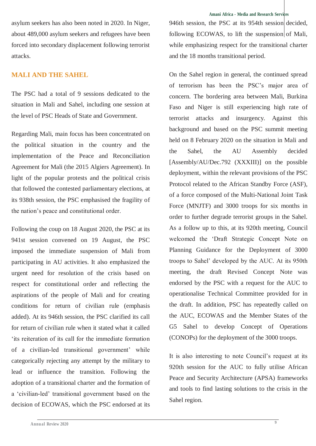asylum seekers has also been noted in 2020. In Niger, about 489,000 asylum seekers and refugees have been forced into secondary displacement following terrorist attacks.

### **MALI AND THE SAHEL**

The PSC had a total of 9 sessions dedicated to the situation in Mali and Sahel, including one session at the level of PSC Heads of State and Government.

Regarding Mali, main focus has been concentrated on the political situation in the country and the implementation of the Peace and Reconciliation Agreement for Mali (the 2015 Algiers Agreement). In light of the popular protests and the political crisis that followed the contested parliamentary elections, at its 938th session, the PSC emphasised the fragility of the nation's peace and constitutional order.

Following the coup on 18 August 2020, the PSC at its 941st session convened on 19 August, the PSC imposed the immediate suspension of Mali from participating in AU activities. It also emphasized the urgent need for resolution of the crisis based on respect for constitutional order and reflecting the aspirations of the people of Mali and for creating conditions for return of civilian rule (emphasis added). At its 946th session, the PSC clarified its call for return of civilian rule when it stated what it called 'its reiteration of its call for the immediate formation of a civilian-led transitional government' while categorically rejecting any attempt by the military to lead or influence the transition. Following the adoption of a transitional charter and the formation of a 'civilian-led' transitional government based on the decision of ECOWAS, which the PSC endorsed at its 946th session, the PSC at its 954th session decided. following ECOWAS, to lift the suspension of Mali, while emphasizing respect for the transitional charter and the 18 months transitional period.

On the Sahel region in general, the continued spread of terrorism has been the PSC's major area of concern. The bordering area between Mali, Burkina Faso and Niger is still experiencing high rate of terrorist attacks and insurgency. Against this background and based on the PSC summit meeting held on 8 February 2020 on the situation in Mali and the Sahel, the AU Assembly decided [Assembly/AU/Dec.792 (XXXIII)] on the possible deployment, within the relevant provisions of the PSC Protocol related to the African Standby Force (ASF), of a force composed of the Multi-National Joint Task Force (MNJTF) and 3000 troops for six months in order to further degrade terrorist groups in the Sahel. As a follow up to this, at its 920th meeting, Council welcomed the 'Draft Strategic Concept Note on Planning Guidance for the Deployment of 3000 troops to Sahel' developed by the AUC. At its 950th meeting, the draft Revised Concept Note was endorsed by the PSC with a request for the AUC to operationalise Technical Committee provided for in the draft. In addition, PSC has repeatedly called on the AUC, ECOWAS and the Member States of the G5 Sahel to develop Concept of Operations (CONOPs) for the deployment of the 3000 troops.

It is also interesting to note Council's request at its 920th session for the AUC to fully utilise African Peace and Security Architecture (APSA) frameworks and tools to find lasting solutions to the crisis in the Sahel region.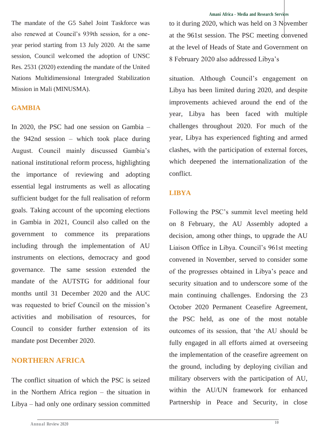The mandate of the G5 Sahel Joint Taskforce was also renewed at Council's 939th session, for a oneyear period starting from 13 July 2020. At the same session, Council welcomed the adoption of UNSC Res. 2531 (2020) extending the mandate of the United Nations Multidimensional Intergraded Stabilization Mission in Mali (MINUSMA).

#### **GAMBIA**

In 2020, the PSC had one session on Gambia – the 942nd session – which took place during August. Council mainly discussed Gambia's national institutional reform process, highlighting the importance of reviewing and adopting essential legal instruments as well as allocating sufficient budget for the full realisation of reform goals. Taking account of the upcoming elections in Gambia in 2021, Council also called on the government to commence its preparations including through the implementation of AU instruments on elections, democracy and good governance. The same session extended the mandate of the AUTSTG for additional four months until 31 December 2020 and the AUC was requested to brief Council on the mission's activities and mobilisation of resources, for Council to consider further extension of its mandate post December 2020.

## **NORTHERN AFRICA**

The conflict situation of which the PSC is seized in the Northern Africa region – the situation in Libya – had only one ordinary session committed to it during  $2020$ , which was held on 3 November at the 961st session. The PSC meeting convened at the level of Heads of State and Government on 8 February 2020 also addressed Libya's

situation. Although Council's engagement on Libya has been limited during 2020, and despite improvements achieved around the end of the year, Libya has been faced with multiple challenges throughout 2020. For much of the year, Libya has experienced fighting and armed clashes, with the participation of external forces, which deepened the internationalization of the conflict.

#### **LIBYA**

Following the PSC's summit level meeting held on 8 February, the AU Assembly adopted a decision, among other things, to upgrade the AU Liaison Office in Libya. Council's 961st meeting convened in November, served to consider some of the progresses obtained in Libya's peace and security situation and to underscore some of the main continuing challenges. Endorsing the 23 October 2020 Permanent Ceasefire Agreement, the PSC held, as one of the most notable outcomes of its session, that 'the AU should be fully engaged in all efforts aimed at overseeing the implementation of the ceasefire agreement on the ground, including by deploying civilian and military observers with the participation of AU, within the AU/UN framework for enhanced Partnership in Peace and Security, in close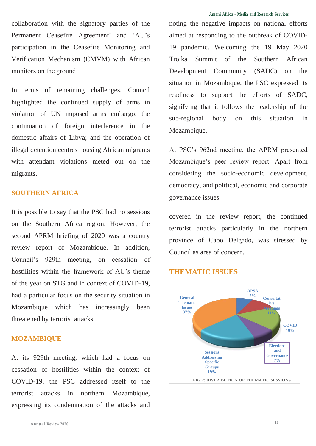collaboration with the signatory parties of the Permanent Ceasefire Agreement' and 'AU's participation in the Ceasefire Monitoring and Verification Mechanism (CMVM) with African monitors on the ground'.

In terms of remaining challenges, Council highlighted the continued supply of arms in violation of UN imposed arms embargo; the continuation of foreign interference in the domestic affairs of Libya; and the operation of illegal detention centres housing African migrants with attendant violations meted out on the migrants.

#### **SOUTHERN AFRICA**

It is possible to say that the PSC had no sessions on the Southern Africa region. However, the second APRM briefing of 2020 was a country review report of Mozambique. In addition, Council's 929th meeting, on cessation of hostilities within the framework of AU's theme of the year on STG and in context of COVID-19, had a particular focus on the security situation in Mozambique which has increasingly been threatened by terrorist attacks.

#### **MOZAMBIQUE**

At its 929th meeting, which had a focus on cessation of hostilities within the context of COVID-19, the PSC addressed itself to the terrorist attacks in northern Mozambique, expressing its condemnation of the attacks and

#### **Amani Africa - Media and Research Services**

noting the negative impacts on national efforts aimed at responding to the outbreak of COVID-19 pandemic. Welcoming the 19 May 2020 Troika Summit of the Southern African Development Community (SADC) on the situation in Mozambique, the PSC expressed its readiness to support the efforts of SADC, signifying that it follows the leadership of the sub-regional body on this situation in Mozambique.

At PSC's 962nd meeting, the APRM presented Mozambique's peer review report. Apart from considering the socio-economic development, democracy, and political, economic and corporate governance issues

covered in the review report, the continued terrorist attacks particularly in the northern province of Cabo Delgado, was stressed by Council as area of concern.

#### **THEMATIC ISSUES**

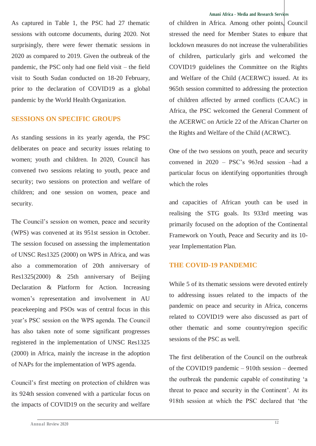As captured in Table 1, the PSC had 27 thematic sessions with outcome documents, during 2020. Not surprisingly, there were fewer thematic sessions in 2020 as compared to 2019. Given the outbreak of the pandemic, the PSC only had one field visit – the field visit to South Sudan conducted on 18-20 February, prior to the declaration of COVID19 as a global pandemic by the World Health Organization.

## **SESSIONS ON SPECIFIC GROUPS**

As standing sessions in its yearly agenda, the PSC deliberates on peace and security issues relating to women; youth and children. In 2020, Council has convened two sessions relating to youth, peace and security; two sessions on protection and welfare of children; and one session on women, peace and security.

The Council's session on women, peace and security (WPS) was convened at its 951st session in October. The session focused on assessing the implementation of UNSC Res1325 (2000) on WPS in Africa, and was also a commemoration of 20th anniversary of Res1325(2000) & 25th anniversary of Beijing Declaration & Platform for Action. Increasing women's representation and involvement in AU peacekeeping and PSOs was of central focus in this year's PSC session on the WPS agenda. The Council has also taken note of some significant progresses registered in the implementation of UNSC Res1325 (2000) in Africa, mainly the increase in the adoption of NAPs for the implementation of WPS agenda.

Council's first meeting on protection of children was its 924th session convened with a particular focus on the impacts of COVID19 on the security and welfare

of children in Africa. Among other points. Council stressed the need for Member States to ensure that lockdown measures do not increase the vulnerabilities of children, particularly girls and welcomed the COVID19 guidelines the Committee on the Rights and Welfare of the Child (ACERWC) issued. At its 965th session committed to addressing the protection of children affected by armed conflicts (CAAC) in Africa, the PSC welcomed the General Comment of the ACERWC on Article 22 of the African Charter on the Rights and Welfare of the Child (ACRWC).

One of the two sessions on youth, peace and security convened in 2020 – PSC's 963rd session –had a particular focus on identifying opportunities through which the roles

and capacities of African youth can be used in realising the STG goals. Its 933rd meeting was primarily focused on the adoption of the Continental Framework on Youth, Peace and Security and its 10 year Implementation Plan.

#### **THE COVID-19 PANDEMIC**

While 5 of its thematic sessions were devoted entirely to addressing issues related to the impacts of the pandemic on peace and security in Africa, concerns related to COVID19 were also discussed as part of other thematic and some country/region specific sessions of the PSC as well.

The first deliberation of the Council on the outbreak of the COVID19 pandemic – 910th session – deemed the outbreak the pandemic capable of constituting 'a threat to peace and security in the Continent'. At its 918th session at which the PSC declared that 'the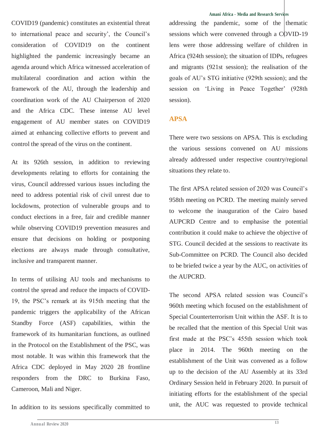COVID19 (pandemic) constitutes an existential threat to international peace and security', the Council's consideration of COVID19 on the continent highlighted the pandemic increasingly became an agenda around which Africa witnessed acceleration of multilateral coordination and action within the framework of the AU, through the leadership and coordination work of the AU Chairperson of 2020 and the Africa CDC. These intense AU level engagement of AU member states on COVID19 aimed at enhancing collective efforts to prevent and control the spread of the virus on the continent.

At its 926th session, in addition to reviewing developments relating to efforts for containing the virus, Council addressed various issues including the need to address potential risk of civil unrest due to lockdowns, protection of vulnerable groups and to conduct elections in a free, fair and credible manner while observing COVID19 prevention measures and ensure that decisions on holding or postponing elections are always made through consultative, inclusive and transparent manner.

In terms of utilising AU tools and mechanisms to control the spread and reduce the impacts of COVID-19, the PSC's remark at its 915th meeting that the pandemic triggers the applicability of the African Standby Force (ASF) capabilities, within the framework of its humanitarian functions, as outlined in the Protocol on the Establishment of the PSC, was most notable. It was within this framework that the Africa CDC deployed in May 2020 28 frontline responders from the DRC to Burkina Faso, Cameroon, Mali and Niger.

In addition to its sessions specifically committed to

addressing the pandemic, some of the thematic sessions which were convened through a COVID-19 lens were those addressing welfare of children in Africa (924th session); the situation of IDPs, refugees and migrants (921st session); the realisation of the goals of AU's STG initiative (929th session); and the session on 'Living in Peace Together' (928th session).

## **APSA**

There were two sessions on APSA. This is excluding the various sessions convened on AU missions already addressed under respective country/regional situations they relate to.

The first APSA related session of 2020 was Council's 958th meeting on PCRD. The meeting mainly served to welcome the inauguration of the Cairo based AUPCRD Centre and to emphasise the potential contribution it could make to achieve the objective of STG. Council decided at the sessions to reactivate its Sub-Committee on PCRD. The Council also decided to be briefed twice a year by the AUC, on activities of the AUPCRD.

The second APSA related session was Council's 960th meeting which focused on the establishment of Special Counterterrorism Unit within the ASF. It is to be recalled that the mention of this Special Unit was first made at the PSC's 455th session which took place in 2014. The 960th meeting on the establishment of the Unit was convened as a follow up to the decision of the AU Assembly at its 33rd Ordinary Session held in February 2020. In pursuit of initiating efforts for the establishment of the special unit, the AUC was requested to provide technical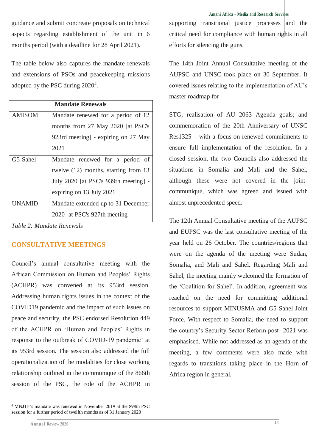guidance and submit concreate proposals on technical aspects regarding establishment of the unit in 6 months period (with a deadline for 28 April 2021).

The table below also captures the mandate renewals and extensions of PSOs and peacekeeping missions adopted by the PSC during 2020<sup>4</sup>.

| <b>Mandate Renewals</b> |                                      |  |  |
|-------------------------|--------------------------------------|--|--|
| <b>AMISOM</b>           | Mandate renewed for a period of 12   |  |  |
|                         | months from 27 May 2020 [at PSC's    |  |  |
|                         | 923rd meeting] - expiring on 27 May  |  |  |
|                         | 2021                                 |  |  |
| G5-Sahel                | Mandate renewed for a period of      |  |  |
|                         | twelve (12) months, starting from 13 |  |  |
|                         | July 2020 [at PSC's 939th meeting] - |  |  |
|                         | expiring on 13 July 2021             |  |  |
| UNAMID                  | Mandate extended up to 31 December   |  |  |
|                         | 2020 [at PSC's 927th meeting]        |  |  |

*Table 2: Mandate Renewals*

### **CONSULTATIVE MEETINGS**

Council's annual consultative meeting with the African Commission on Human and Peoples' Rights (ACHPR) was convened at its 953rd session. Addressing human rights issues in the context of the COVID19 pandemic and the impact of such issues on peace and security, the PSC endorsed Resolution 449 of the ACHPR on 'Human and Peoples' Rights in response to the outbreak of COVID-19 pandemic' at its 953rd session. The session also addressed the full operationalization of the modalities for close working relationship outlined in the communique of the 866th session of the PSC, the role of the ACHPR in

supporting transitional justice processes  $|$  and the critical need for compliance with human rights in all efforts for silencing the guns.

The 14th Joint Annual Consultative meeting of the AUPSC and UNSC took place on 30 September. It covered issues relating to the implementation of AU's master roadmap for

STG; realisation of AU 2063 Agenda goals; and commemoration of the 20th Anniversary of UNSC Res1325 – with a focus on renewed commitments to ensure full implementation of the resolution. In a closed session, the two Councils also addressed the situations in Somalia and Mali and the Sahel, although these were not covered in the jointcommuniqué , which was agreed and issued with almost unprecedented speed.

The 12th Annual Consultative meeting of the AUPSC and EUPSC was the last consultative meeting of the year held on 26 October. The countries/regions that were on the agenda of the meeting were Sudan, Somalia, and Mali and Sahel. Regarding Mali and Sahel, the meeting mainly welcomed the formation of the 'Coalition for Sahel'. In addition, agreement was reached on the need for committing additional resources to support MINUSMA and G5 Sahel Joint Force. With respect to Somalia, the need to support the country's Security Sector Reform post- 2021 was emphasised. While not addressed as an agenda of the meeting, a few comments were also made with regards to transitions taking place in the Horn of Africa region in general.

<sup>-</sup><sup>4</sup> MNJTF's mandate was renewed in November 2019 at the 898th PSC session for a further period of twelfth months as of 31 January 2020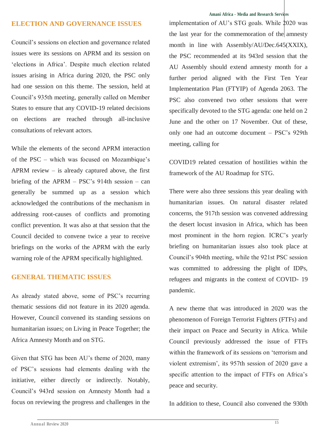#### **ELECTION AND GOVERNANCE ISSUES**

Council's sessions on election and governance related issues were its sessions on APRM and its session on 'elections in Africa'. Despite much election related issues arising in Africa during 2020, the PSC only had one session on this theme. The session, held at Council's 935th meeting, generally called on Member States to ensure that any COVID-19 related decisions on elections are reached through all-inclusive consultations of relevant actors.

While the elements of the second APRM interaction of the PSC – which was focused on Mozambique's APRM review  $-$  is already captured above, the first briefing of the APRM – PSC's 914th session – can generally be summed up as a session which acknowledged the contributions of the mechanism in addressing root-causes of conflicts and promoting conflict prevention. It was also at that session that the Council decided to convene twice a year to receive briefings on the works of the APRM with the early warning role of the APRM specifically highlighted.

## **GENERAL THEMATIC ISSUES**

As already stated above, some of PSC's recurring thematic sessions did not feature in its 2020 agenda. However, Council convened its standing sessions on humanitarian issues; on Living in Peace Together; the Africa Amnesty Month and on STG.

Given that STG has been AU's theme of 2020, many of PSC's sessions had elements dealing with the initiative, either directly or indirectly. Notably, Council's 943rd session on Amnesty Month had a focus on reviewing the progress and challenges in the

#### **Amani Africa - Media and Research Services**

implementation of AU's STG goals. While 2020 was the last year for the commemoration of the amnesty month in line with Assembly/AU/Dec.645(XXIX), the PSC recommended at its 943rd session that the AU Assembly should extend amnesty month for a further period aligned with the First Ten Year Implementation Plan (FTYIP) of Agenda 2063. The PSC also convened two other sessions that were specifically devoted to the STG agenda: one held on 2 June and the other on 17 November. Out of these, only one had an outcome document – PSC's 929th meeting, calling for

COVID19 related cessation of hostilities within the framework of the AU Roadmap for STG.

There were also three sessions this year dealing with humanitarian issues. On natural disaster related concerns, the 917th session was convened addressing the desert locust invasion in Africa, which has been most prominent in the horn region. ICRC's yearly briefing on humanitarian issues also took place at Council's 904th meeting, while the 921st PSC session was committed to addressing the plight of IDPs, refugees and migrants in the context of COVID- 19 pandemic.

A new theme that was introduced in 2020 was the phenomenon of Foreign Terrorist Fighters (FTFs) and their impact on Peace and Security in Africa. While Council previously addressed the issue of FTFs within the framework of its sessions on 'terrorism and violent extremism', its 957th session of 2020 gave a specific attention to the impact of FTFs on Africa's peace and security.

In addition to these, Council also convened the 930th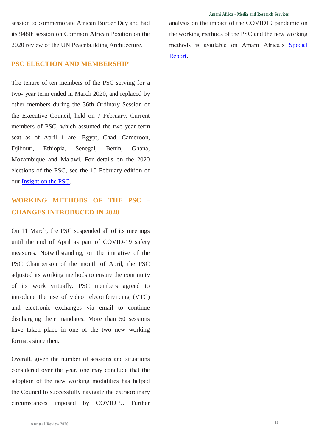**Amani Africa - Media and Research Services**

session to commemorate African Border Day and had its 948th session on Common African Position on the 2020 review of the UN Peacebuilding Architecture.

#### **PSC ELECTION AND MEMBERSHIP**

The tenure of ten members of the PSC serving for a two- year term ended in March 2020, and replaced by other members during the 36th Ordinary Session of the Executive Council, held on 7 February. Current members of PSC, which assumed the two-year term seat as of April 1 are- Egypt, Chad, Cameroon, Djibouti, Ethiopia, Senegal, Benin, Ghana, Mozambique and Malawi. For details on the 2020 elections of the PSC, see the 10 February edition of our [Insight on the PSC.](http://www.amaniafrica-et.org/images/Reports/Updateonthe2020electionsofthePSC.pdf)

# **WORKING METHODS OF THE PSC – CHANGES INTRODUCED IN 2020**

On 11 March, the PSC suspended all of its meetings until the end of April as part of COVID-19 safety measures. Notwithstanding, on the initiative of the PSC Chairperson of the month of April, the PSC adjusted its working methods to ensure the continuity of its work virtually. PSC members agreed to introduce the use of video teleconferencing (VTC) and electronic exchanges via email to continue discharging their mandates. More than 50 sessions have taken place in one of the two new working formats since then.

Overall, given the number of sessions and situations considered over the year, one may conclude that the adoption of the new working modalities has helped the Council to successfully navigate the extraordinary circumstances imposed by COVID19. Further

analysis on the impact of the COVID19 pandemic on the working methods of the PSC and the new working methods is available on Amani Africa's [Special](http://www.amaniafrica-et.org/images/Reports/AmaniAfricaSpecialResearchReport6.pdf)  [Report.](http://www.amaniafrica-et.org/images/Reports/AmaniAfricaSpecialResearchReport6.pdf)